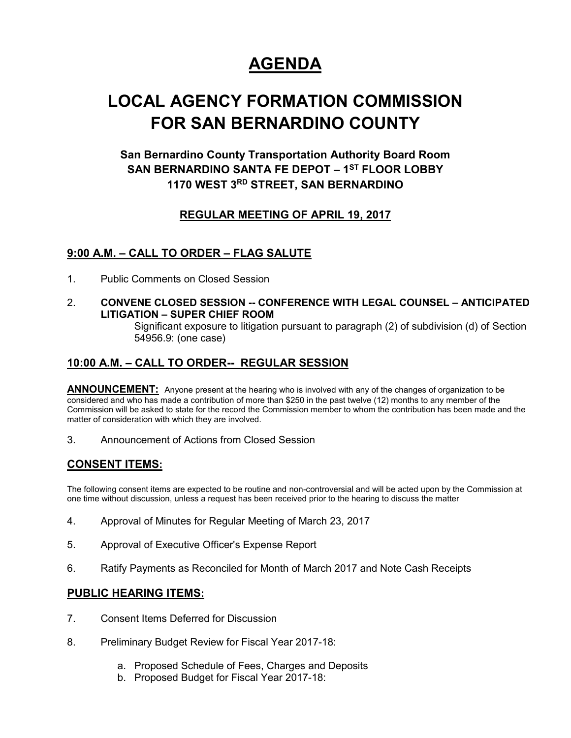# **AGENDA**

## **LOCAL AGENCY FORMATION COMMISSION FOR SAN BERNARDINO COUNTY**

## **San Bernardino County Transportation Authority Board Room SAN BERNARDINO SANTA FE DEPOT – 1 ST FLOOR LOBBY 1170 WEST 3RD STREET, SAN BERNARDINO**

### **REGULAR MEETING OF APRIL 19, 2017**

### **9:00 A.M. – CALL TO ORDER – FLAG SALUTE**

- 1. Public Comments on Closed Session
- 2. **CONVENE CLOSED SESSION -- CONFERENCE WITH LEGAL COUNSEL – ANTICIPATED LITIGATION – SUPER CHIEF ROOM**

Significant exposure to litigation pursuant to paragraph (2) of subdivision (d) of Section 54956.9: (one case)

### **10:00 A.M. – CALL TO ORDER-- REGULAR SESSION**

**ANNOUNCEMENT:** Anyone present at the hearing who is involved with any of the changes of organization to be considered and who has made a contribution of more than \$250 in the past twelve (12) months to any member of the Commission will be asked to state for the record the Commission member to whom the contribution has been made and the matter of consideration with which they are involved.

3. Announcement of Actions from Closed Session

#### **CONSENT ITEMS:**

The following consent items are expected to be routine and non-controversial and will be acted upon by the Commission at one time without discussion, unless a request has been received prior to the hearing to discuss the matter

- 4. Approval of Minutes for Regular Meeting of March 23, 2017
- 5. Approval of Executive Officer's Expense Report
- 6. Ratify Payments as Reconciled for Month of March 2017 and Note Cash Receipts

#### **PUBLIC HEARING ITEMS:**

- 7. Consent Items Deferred for Discussion
- 8. Preliminary Budget Review for Fiscal Year 2017-18:
	- a. Proposed Schedule of Fees, Charges and Deposits
	- b. Proposed Budget for Fiscal Year 2017-18: